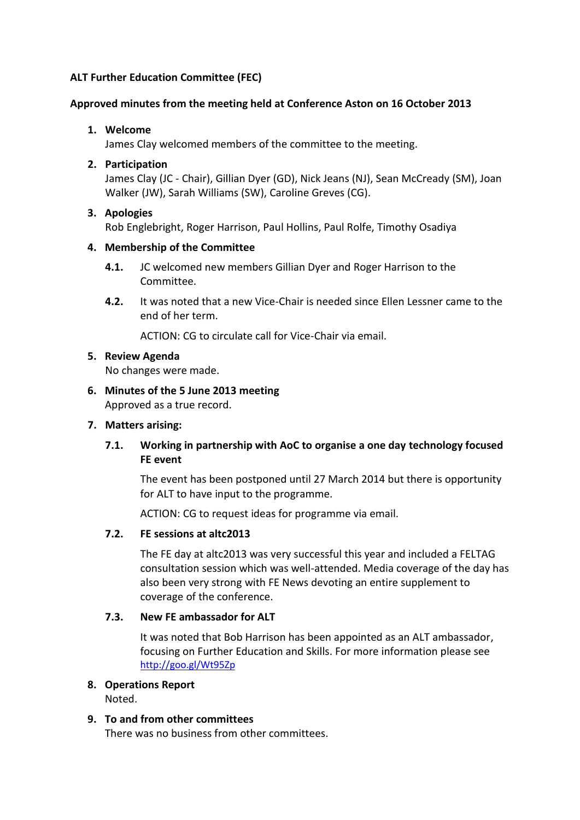# **ALT Further Education Committee (FEC)**

## **Approved minutes from the meeting held at Conference Aston on 16 October 2013**

## **1. Welcome**

James Clay welcomed members of the committee to the meeting.

## **2. Participation**

James Clay (JC - Chair), Gillian Dyer (GD), Nick Jeans (NJ), Sean McCready (SM), Joan Walker (JW), Sarah Williams (SW), Caroline Greves (CG).

## **3. Apologies**

Rob Englebright, Roger Harrison, Paul Hollins, Paul Rolfe, Timothy Osadiya

## **4. Membership of the Committee**

- **4.1.** JC welcomed new members Gillian Dyer and Roger Harrison to the Committee.
- **4.2.** It was noted that a new Vice-Chair is needed since Ellen Lessner came to the end of her term.

ACTION: CG to circulate call for Vice-Chair via email.

## **5. Review Agenda**

No changes were made.

**6. Minutes of the 5 June 2013 meeting** Approved as a true record.

#### **7. Matters arising:**

# **7.1. Working in partnership with AoC to organise a one day technology focused FE event**

The event has been postponed until 27 March 2014 but there is opportunity for ALT to have input to the programme.

ACTION: CG to request ideas for programme via email.

#### **7.2. FE sessions at altc2013**

The FE day at altc2013 was very successful this year and included a FELTAG consultation session which was well-attended. Media coverage of the day has also been very strong with FE News devoting an entire supplement to coverage of the conference.

#### **7.3. New FE ambassador for ALT**

It was noted that Bob Harrison has been appointed as an ALT ambassador, focusing on Further Education and Skills. For more information please see <http://goo.gl/Wt95Zp>

# **8. Operations Report**

Noted.

#### **9. To and from other committees**

There was no business from other committees.